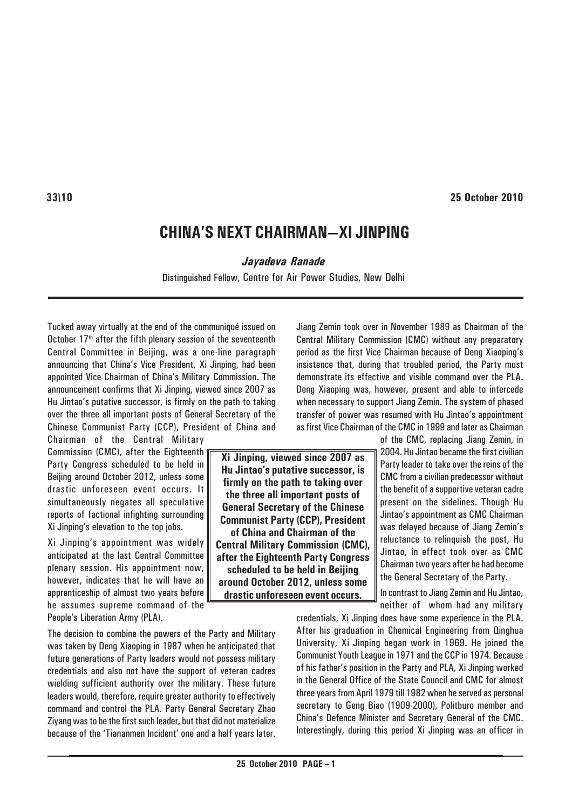# **CHINA'S NEXT CHAIRMAN—XI JINPING**

*Jayadeva Ranade*

Distinguished Fellow, Centre for Air Power Studies, New Delhi

Tucked away virtually at the end of the communiqué issued on October  $17<sup>th</sup>$  after the fifth plenary session of the seventeenth Central Committee in Beijing, was a one-line paragraph announcing that China's Vice President, Xi Jinping, had been appointed Vice Chairman of China's Military Commission. The announcement confirms that Xi Jinping, viewed since 2007 as Hu Jintao's putative successor, is firmly on the path to taking over the three all important posts of General Secretary of the Chinese Communist Party (CCP), President of China and

Chairman of the Central Military Commission (CMC), after the Eighteenth Party Congress scheduled to be held in Beijing around October 2012, unless some drastic unforeseen event occurs. It simultaneously negates all speculative reports of factional infighting surrounding Xi Jinping's elevation to the top jobs.

Xi Jinping's appointment was widely anticipated at the last Central Committee plenary session. His appointment now, however, indicates that he will have an apprenticeship of almost two years before he assumes supreme command of the People's Liberation Army (PLA).

The decision to combine the powers of the Party and Military was taken by Deng Xiaoping in 1987 when he anticipated that future generations of Party leaders would not possess military credentials and also not have the support of veteran cadres wielding sufficient authority over the military. These future leaders would, therefore, require greater authority to effectively command and control the PLA. Party General Secretary Zhao Ziyang was to be the first such leader, but that did not materialize because of the 'Tiananmen Incident' one and a half years later. Jiang Zemin took over in November 1989 as Chairman of the Central Military Commission (CMC) without any preparatory period as the first Vice Chairman because of Deng Xiaoping's insistence that, during that troubled period, the Party must demonstrate its effective and visible command over the PLA. Deng Xiaoping was, however, present and able to intercede when necessary to support Jiang Zemin. The system of phased transfer of power was resumed with Hu Jintao's appointment as first Vice Chairman of the CMC in 1999 and later as Chairman

> of the CMC, replacing Jiang Zemin, in 2004. Hu Jintao became the first civilian Party leader to take over the reins of the CMC from a civilian predecessor without the benefit of a supportive veteran cadre present on the sidelines. Though Hu Jintao's appointment as CMC Chairman was delayed because of Jiang Zemin's reluctance to relinquish the post, Hu Jintao, in effect took over as CMC Chairman two years after he had become the General Secretary of the Party.

In contrast to Jiang Zemin and Hu Jintao, neither of whom had any military

credentials, Xi Jinping does have some experience in the PLA. After his graduation in Chemical Engineering from Qinghua University, Xi Jinping began work in 1969. He joined the Communist Youth League in 1971 and the CCP in 1974. Because of his father's position in the Party and PLA, Xi Jinping worked in the General Office of the State Council and CMC for almost three years from April 1979 till 1982 when he served as personal secretary to Geng Biao (1909-2000), Politburo member and China's Defence Minister and Secretary General of the CMC. Interestingly, during this period Xi Jinping was an officer in

### **Xi Jinping, viewed since 2007 as Hu Jintao's putative successor, is firmly on the path to taking over the three all important posts of General Secretary of the Chinese Communist Party (CCP), President of China and Chairman of the Central Military Commission (CMC), after the Eighteenth Party Congress scheduled to be held in Beijing around October 2012, unless some drastic unforeseen event occurs.**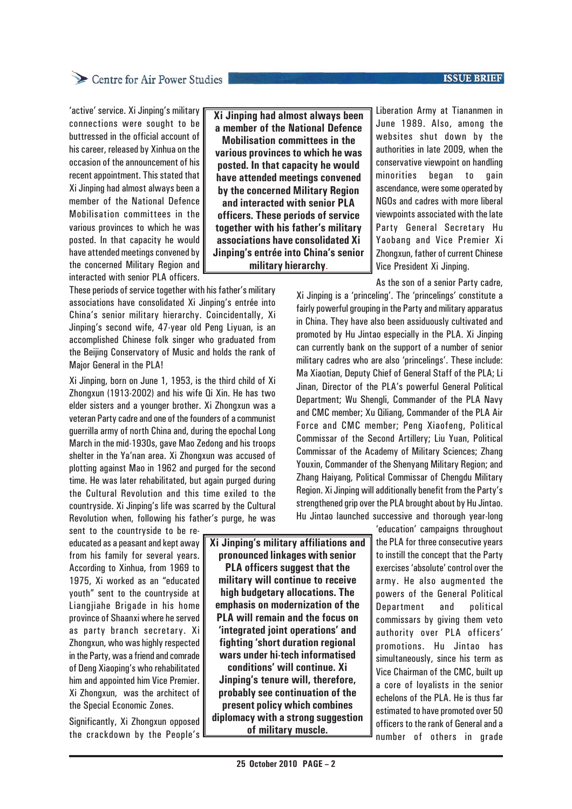#### **ISSUE BRIEF**

### Centre for Air Power Studies

'active' service. Xi Jinping's military connections were sought to be buttressed in the official account of his career, released by Xinhua on the occasion of the announcement of his recent appointment. This stated that Xi Jinping had almost always been a member of the National Defence Mobilisation committees in the various provinces to which he was posted. In that capacity he would have attended meetings convened by the concerned Military Region and interacted with senior PLA officers.

These periods of service together with his father's military associations have consolidated Xi Jinping's entrée into China's senior military hierarchy. Coincidentally, Xi Jinping's second wife, 47-year old Peng Liyuan, is an accomplished Chinese folk singer who graduated from the Beijing Conservatory of Music and holds the rank of Major General in the PLA!

Xi Jinping, born on June 1, 1953, is the third child of Xi Zhongxun (1913-2002) and his wife Qi Xin. He has two elder sisters and a younger brother. Xi Zhongxun was a veteran Party cadre and one of the founders of a communist guerrilla army of north China and, during the epochal Long March in the mid-1930s, gave Mao Zedong and his troops shelter in the Ya'nan area. Xi Zhongxun was accused of plotting against Mao in 1962 and purged for the second time. He was later rehabilitated, but again purged during the Cultural Revolution and this time exiled to the countryside. Xi Jinping's life was scarred by the Cultural Revolution when, following his father's purge, he was

sent to the countryside to be reeducated as a peasant and kept away from his family for several years. According to Xinhua, from 1969 to 1975, Xi worked as an "educated youth" sent to the countryside at Liangjiahe Brigade in his home province of Shaanxi where he served as party branch secretary. Xi Zhongxun, who was highly respected in the Party, was a friend and comrade of Deng Xiaoping's who rehabilitated him and appointed him Vice Premier. Xi Zhongxun, was the architect of the Special Economic Zones.

Significantly, Xi Zhongxun opposed the crackdown by the People's **Xi Jinping had almost always been a member of the National Defence Mobilisation committees in the various provinces to which he was posted. In that capacity he would have attended meetings convened by the concerned Military Region and interacted with senior PLA officers. These periods of service together with his father's military associations have consolidated Xi Jinping's entrée into China's senior military hierarchy**.

Liberation Army at Tiananmen in June 1989. Also, among the websites shut down by the authorities in late 2009, when the conservative viewpoint on handling minorities began to gain ascendance, were some operated by NGOs and cadres with more liberal viewpoints associated with the late Party General Secretary Hu Yaobang and Vice Premier Xi Zhongxun, father of current Chinese Vice President Xi Jinping.

As the son of a senior Party cadre,

Xi Jinping is a 'princeling'. The 'princelings' constitute a fairly powerful grouping in the Party and military apparatus in China. They have also been assiduously cultivated and promoted by Hu Jintao especially in the PLA. Xi Jinping can currently bank on the support of a number of senior military cadres who are also 'princelings'. These include: Ma Xiaotian, Deputy Chief of General Staff of the PLA; Li Jinan, Director of the PLA's powerful General Political Department; Wu Shengli, Commander of the PLA Navy and CMC member; Xu Qiliang, Commander of the PLA Air Force and CMC member; Peng Xiaofeng, Political Commissar of the Second Artillery; Liu Yuan, Political Commissar of the Academy of Military Sciences; Zhang Youxin, Commander of the Shenyang Military Region; and Zhang Haiyang, Political Commissar of Chengdu Military Region. Xi Jinping will additionally benefit from the Party's strengthened grip over the PLA brought about by Hu Jintao. Hu Jintao launched successive and thorough year-long

'education' campaigns throughout the PLA for three consecutive years to instill the concept that the Party exercises 'absolute' control over the army. He also augmented the powers of the General Political Department and political commissars by giving them veto authority over PLA officers' promotions. Hu Jintao has simultaneously, since his term as Vice Chairman of the CMC, built up a core of loyalists in the senior echelons of the PLA. He is thus far estimated to have promoted over 50 officers to the rank of General and a number of others in grade

**Xi Jinping's military affiliations and pronounced linkages with senior PLA officers suggest that the military will continue to receive high budgetary allocations. The emphasis on modernization of the PLA will remain and the focus on 'integrated joint operations' and fighting 'short duration regional wars under hi-tech informatised conditions' will continue. Xi Jinping's tenure will, therefore, probably see continuation of the present policy which combines diplomacy with a strong suggestion of military muscle.**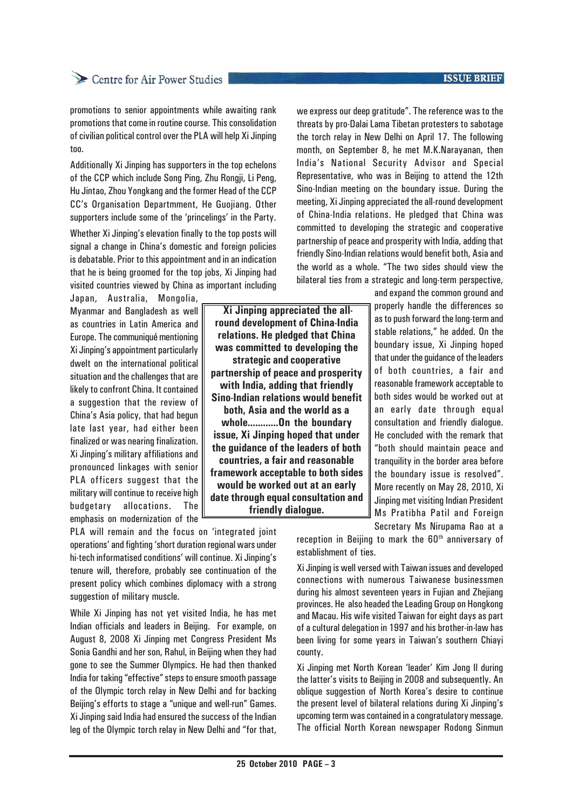#### **ISSUE BRIEF**

## Centre for Air Power Studies

promotions to senior appointments while awaiting rank promotions that come in routine course. This consolidation of civilian political control over the PLA will help Xi Jinping too.

Additionally Xi Jinping has supporters in the top echelons of the CCP which include Song Ping, Zhu Rongii, Li Peng, Hu Jintao, Zhou Yongkang and the former Head of the CCP CC's Organisation Departmment, He Guojiang. Other supporters include some of the 'princelings' in the Party.

Whether Xi Jinping's elevation finally to the top posts will signal a change in China's domestic and foreign policies is debatable. Prior to this appointment and in an indication that he is being groomed for the top jobs, Xi Jinping had visited countries viewed by China as important including

Japan, Australia, Mongolia, Myanmar and Bangladesh as well as countries in Latin America and Europe. The communiqué mentioning Xi Jinping's appointment particularly dwelt on the international political situation and the challenges that are likely to confront China. It contained a suggestion that the review of China's Asia policy, that had begun late last year, had either been finalized or was nearing finalization. Xi Jinping's military affiliations and pronounced linkages with senior PLA officers suggest that the military will continue to receive high budgetary allocations. The emphasis on modernization of the

PLA will remain and the focus on 'integrated joint operations' and fighting 'short duration regional wars under hi-tech informatised conditions' will continue. Xi Jinping's tenure will, therefore, probably see continuation of the present policy which combines diplomacy with a strong suggestion of military muscle.

While Xi Jinping has not yet visited India, he has met Indian officials and leaders in Beijing. For example, on August 8, 2008 Xi Jinping met Congress President Ms Sonia Gandhi and her son, Rahul, in Beijing when they had gone to see the Summer Olympics. He had then thanked India for taking "effective" steps to ensure smooth passage of the Olympic torch relay in New Delhi and for backing Beijing's efforts to stage a "unique and well-run" Games. Xi Jinping said India had ensured the success of the Indian leg of the Olympic torch relay in New Delhi and "for that,

we express our deep gratitude". The reference was to the threats by pro-Dalai Lama Tibetan protesters to sabotage the torch relay in New Delhi on April 17. The following month, on September 8, he met M.K.Narayanan, then India's National Security Advisor and Special Representative, who was in Beijing to attend the 12th Sino-Indian meeting on the boundary issue. During the meeting, Xi Jinping appreciated the all-round development of China-India relations. He pledged that China was committed to developing the strategic and cooperative partnership of peace and prosperity with India, adding that friendly Sino-Indian relations would benefit both, Asia and the world as a whole. "The two sides should view the bilateral ties from a strategic and long-term perspective,

and expand the common ground and properly handle the differences so as to push forward the long-term and stable relations," he added. On the boundary issue, Xi Jinping hoped that under the guidance of the leaders of both countries, a fair and reasonable framework acceptable to both sides would be worked out at an early date through equal consultation and friendly dialogue. He concluded with the remark that "both should maintain peace and tranquility in the border area before the boundary issue is resolved". More recently on May 28, 2010, Xi Jinping met visiting Indian President Ms Pratibha Patil and Foreign Secretary Ms Nirupama Rao at a

reception in Beijing to mark the 60<sup>th</sup> anniversary of establishment of ties.

Xi Jinping is well versed with Taiwan issues and developed connections with numerous Taiwanese businessmen during his almost seventeen years in Fujian and Zhejiang provinces. He also headed the Leading Group on Hongkong and Macau. His wife visited Taiwan for eight days as part of a cultural delegation in 1997 and his brother-in-law has been living for some years in Taiwan's southern Chiayi county.

Xi Jinping met North Korean 'leader' Kim Jong Il during the latter's visits to Beijing in 2008 and subsequently. An oblique suggestion of North Korea's desire to continue the present level of bilateral relations during Xi Jinping's upcoming term was contained in a congratulatory message. The official North Korean newspaper Rodong Sinmun

 **Xi Jinping appreciated the allround development of China-India relations. He pledged that China was committed to developing the strategic and cooperative partnership of peace and prosperity with India, adding that friendly Sino-Indian relations would benefit both, Asia and the world as a whole............On the boundary issue, Xi Jinping hoped that under the guidance of the leaders of both countries, a fair and reasonable framework acceptable to both sides would be worked out at an early date through equal consultation and friendly dialogue.**